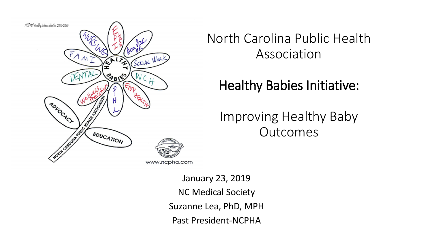

North Carolina Public Health Association

#### Healthy Babies Initiative:

Improving Healthy Baby **Outcomes** 

January 23, 2019 NC Medical Society Suzanne Lea, PhD, MPH Past President-NCPHA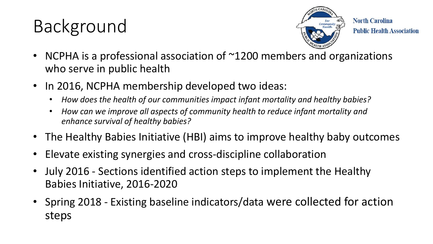# Background



**North Carolina Public Health Association** 

- NCPHA is a professional association of ~1200 members and organizations who serve in public health
- In 2016, NCPHA membership developed two ideas:
	- *How does the health of our communities impact infant mortality and healthy babies?*
	- *How can we improve all aspects of community health to reduce infant mortality and enhance survival of healthy babies?*
- The Healthy Babies Initiative (HBI) aims to improve healthy baby outcomes
- Elevate existing synergies and cross-discipline collaboration
- July 2016 Sections identified action steps to implement the Healthy Babies Initiative, 2016-2020
- Spring 2018 Existing baseline indicators/data were collected for action steps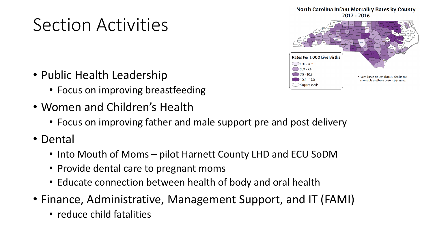## Section Activities

- Public Health Leadership
	- Focus on improving breastfeeding
- Women and Children's Health
	- Focus on improving father and male support pre and post delivery
- Dental
	- Into Mouth of Moms pilot Harnett County LHD and ECU SoDM
	- Provide dental care to pregnant moms
	- Educate connection between health of body and oral health
- Finance, Administrative, Management Support, and IT (FAMI)
	- reduce child fatalities



Suppressed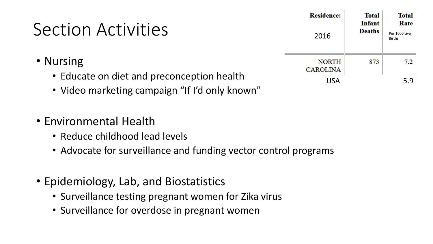### Section Activities

- Nursing
	- Educate on diet and preconception health
	- Video marketing campaign "If I'd only known"
- Environmental Health
	- Reduce childhood lead levels
	- Advocate for surveillance and funding vector control programs
- Epidemiology, Lab, and Biostatistics
	- Surveillance testing pregnant women for Zika virus
	- Surveillance for overdose in pregnant women

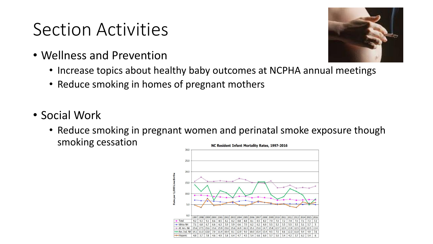#### Section Activities

- Wellness and Prevention
	- Increase topics about healthy baby outcomes at NCPHA annual meetings
	- Reduce smoking in homes of pregnant mothers
- Social Work
	- Reduce smoking in pregnant women and perinatal smoke exposure though smoking cessationNC Resident Infant Mortality Rates, 1997-2016